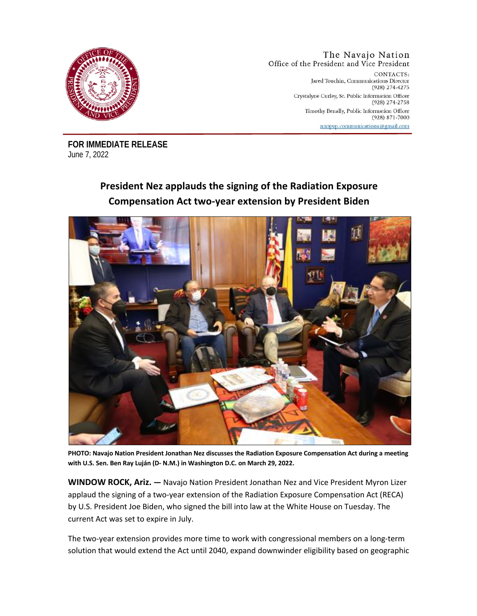

The Navajo Nation Office of the President and Vice President CONTACTS: Jared Touchin, Communications Director (928) 274-4275

Crystalyne Curley, Sr. Public Information Officer (928) 274-2758 Timothy Benally, Public Information Officer (928) 871-7000 nnopvp.communications@gmail.com

**FOR IMMEDIATE RELEASE** June 7, 2022

## **President Nez applauds the signing of the Radiation Exposure Compensation Act two-year extension by President Biden**



**PHOTO: Navajo Nation President Jonathan Nez discusses the Radiation Exposure Compensation Act during a meeting with U.S. Sen. Ben Ray Luján (D- N.M.) in Washington D.C. on March 29, 2022.** 

**WINDOW ROCK, Ariz. —** Navajo Nation President Jonathan Nez and Vice President Myron Lizer applaud the signing of a two-year extension of the Radiation Exposure Compensation Act (RECA) by U.S. President Joe Biden, who signed the bill into law at the White House on Tuesday. The current Act was set to expire in July.

The two-year extension provides more time to work with congressional members on a long-term solution that would extend the Act until 2040, expand downwinder eligibility based on geographic